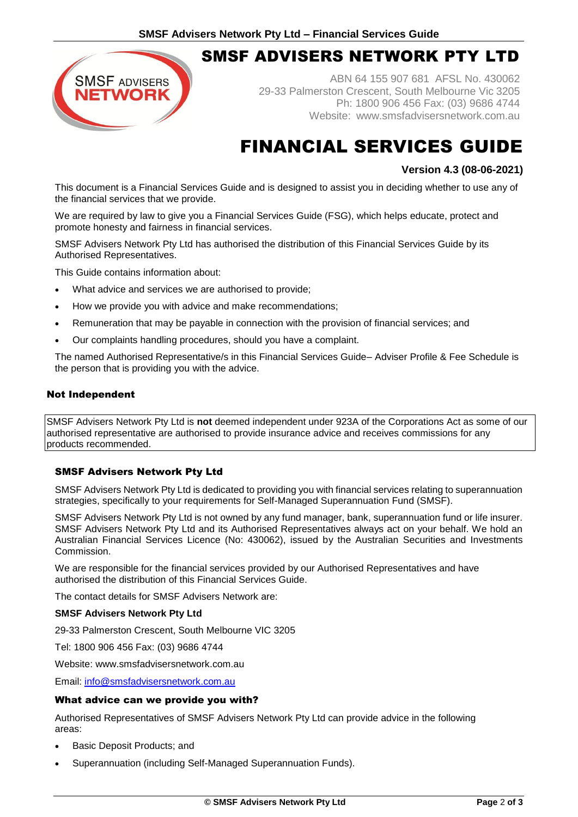# SMSF ADVISERS NETWORK PTY LTD

ABN 64 155 907 681 AFSL No. 430062 29-33 Palmerston Crescent, South Melbourne Vic 3205 Ph: 1800 906 456 Fax: (03) 9686 4744 Website: [www.smsfadvisersnetwork.com.au](http://www.smsfadvisersnetwork.com.au/)

# FINANCIAL SERVICES GUIDE

# **Version 4.3 (08-06-2021)**

This document is a Financial Services Guide and is designed to assist you in deciding whether to use any of the financial services that we provide.

We are required by law to give you a Financial Services Guide (FSG), which helps educate, protect and promote honesty and fairness in financial services.

SMSF Advisers Network Pty Ltd has authorised the distribution of this Financial Services Guide by its Authorised Representatives.

This Guide contains information about:

**SMSF ADVISERS** TWORK

- What advice and services we are authorised to provide;
- How we provide you with advice and make recommendations;
- Remuneration that may be payable in connection with the provision of financial services; and
- Our complaints handling procedures, should you have a complaint.

The named Authorised Representative/s in this Financial Services Guide– Adviser Profile & Fee Schedule is the person that is providing you with the advice.

### Not Independent

SMSF Advisers Network Pty Ltd is **not** deemed independent under 923A of the Corporations Act as some of our authorised representative are authorised to provide insurance advice and receives commissions for any products recommended.

### SMSF Advisers Network Pty Ltd

SMSF Advisers Network Pty Ltd is dedicated to providing you with financial services relating to superannuation strategies, specifically to your requirements for Self-Managed Superannuation Fund (SMSF).

SMSF Advisers Network Pty Ltd is not owned by any fund manager, bank, superannuation fund or life insurer. SMSF Advisers Network Pty Ltd and its Authorised Representatives always act on your behalf. We hold an Australian Financial Services Licence (No: 430062), issued by the Australian Securities and Investments Commission.

We are responsible for the financial services provided by our Authorised Representatives and have authorised the distribution of this Financial Services Guide.

The contact details for SMSF Advisers Network are:

### **SMSF Advisers Network Pty Ltd**

29-33 Palmerston Crescent, South Melbourne VIC 3205

Tel: 1800 906 456 Fax: (03) 9686 4744

Website: [www.smsfadvisersnetwork.com.au](http://www.smsfadvisersnetwork.com.au/)

Email: [info@smsfadvisersnetwork.com.au](mailto:info@smsfadvisersnetwork.com.au)

### What advice can we provide you with?

Authorised Representatives of SMSF Advisers Network Pty Ltd can provide advice in the following areas:

- Basic Deposit Products; and
- Superannuation (including Self-Managed Superannuation Funds).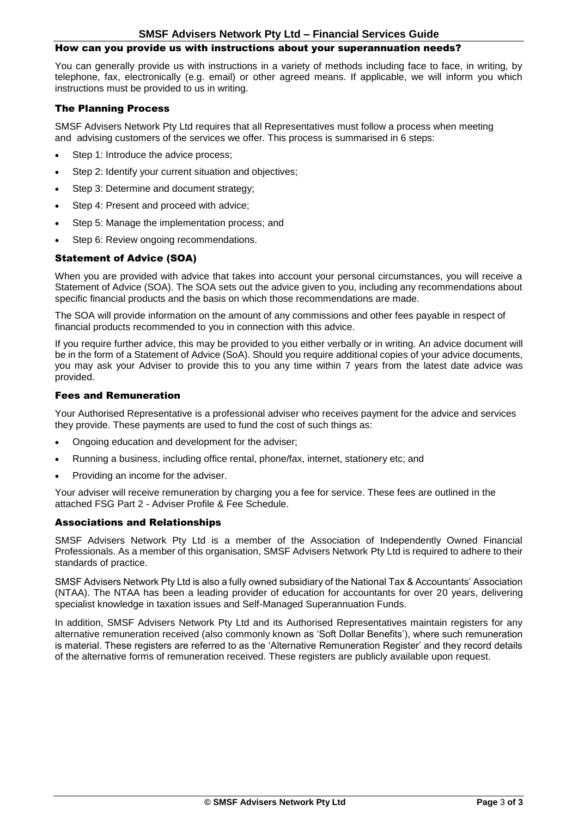### How can you provide us with instructions about your superannuation needs?

You can generally provide us with instructions in a variety of methods including face to face, in writing, by telephone, fax, electronically (e.g. email) or other agreed means. If applicable, we will inform you which instructions must be provided to us in writing.

## The Planning Process

SMSF Advisers Network Pty Ltd requires that all Representatives must follow a process when meeting and advising customers of the services we offer. This process is summarised in 6 steps:

- Step 1: Introduce the advice process;
- Step 2: Identify your current situation and objectives;
- Step 3: Determine and document strategy;
- Step 4: Present and proceed with advice;
- Step 5: Manage the implementation process; and
- Step 6: Review ongoing recommendations.

# Statement of Advice (SOA)

When you are provided with advice that takes into account your personal circumstances, you will receive a Statement of Advice (SOA). The SOA sets out the advice given to you, including any recommendations about specific financial products and the basis on which those recommendations are made.

The SOA will provide information on the amount of any commissions and other fees payable in respect of financial products recommended to you in connection with this advice.

If you require further advice, this may be provided to you either verbally or in writing. An advice document will be in the form of a Statement of Advice (SoA). Should you require additional copies of your advice documents, you may ask your Adviser to provide this to you any time within 7 years from the latest date advice was provided.

#### Fees and Remuneration

Your Authorised Representative is a professional adviser who receives payment for the advice and services they provide. These payments are used to fund the cost of such things as:

- Ongoing education and development for the adviser;
- Running a business, including office rental, phone/fax, internet, stationery etc; and
- Providing an income for the adviser.

Your adviser will receive remuneration by charging you a fee for service. These fees are outlined in the attached FSG Part 2 - Adviser Profile & Fee Schedule.

### Associations and Relationships

SMSF Advisers Network Pty Ltd is a member of the Association of Independently Owned Financial Professionals. As a member of this organisation, SMSF Advisers Network Pty Ltd is required to adhere to their standards of practice.

SMSF Advisers Network Pty Ltd is also a fully owned subsidiary of the National Tax & Accountants' Association (NTAA). The NTAA has been a leading provider of education for accountants for over 20 years, delivering specialist knowledge in taxation issues and Self-Managed Superannuation Funds.

In addition, SMSF Advisers Network Pty Ltd and its Authorised Representatives maintain registers for any alternative remuneration received (also commonly known as 'Soft Dollar Benefits'), where such remuneration is material. These registers are referred to as the 'Alternative Remuneration Register' and they record details of the alternative forms of remuneration received. These registers are publicly available upon request.